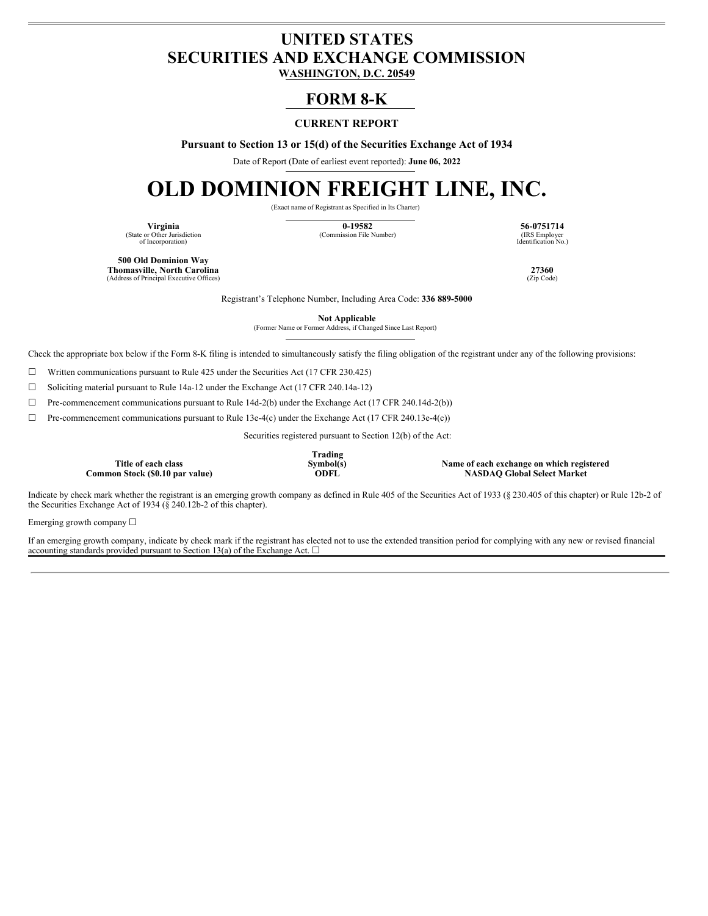## **UNITED STATES SECURITIES AND EXCHANGE COMMISSION**

**WASHINGTON, D.C. 20549**

### **FORM 8-K**

#### **CURRENT REPORT**

**Pursuant to Section 13 or 15(d) of the Securities Exchange Act of 1934**

Date of Report (Date of earliest event reported): **June 06, 2022**

# **OLD DOMINION FREIGHT LINE, INC.**

(Exact name of Registrant as Specified in Its Charter)

(State or Other Jurisdiction of Incorporation)

**Virginia 0-19582 56-0751714** (Commission File Number)

IRS Employer<br>Identification No.)

**500 Old Dominion Way Thomasville, North Carolina 27360** (Address of Principal Executive Offices)

Registrant's Telephone Number, Including Area Code: **336 889-5000**

**Not Applicable** (Former Name or Former Address, if Changed Since Last Report)

Check the appropriate box below if the Form 8-K filing is intended to simultaneously satisfy the filing obligation of the registrant under any of the following provisions:

 $\Box$  Written communications pursuant to Rule 425 under the Securities Act (17 CFR 230.425)

☐ Soliciting material pursuant to Rule 14a-12 under the Exchange Act (17 CFR 240.14a-12)

☐ Pre-commencement communications pursuant to Rule 14d-2(b) under the Exchange Act (17 CFR 240.14d-2(b))

☐ Pre-commencement communications pursuant to Rule 13e-4(c) under the Exchange Act (17 CFR 240.13e-4(c))

Securities registered pursuant to Section 12(b) of the Act:

**Title of each class**  $Common Stock ($0.10 par value)$  **Trading**

**Symbol(s) Name of each exchange on which registered**

Indicate by check mark whether the registrant is an emerging growth company as defined in Rule 405 of the Securities Act of 1933 (§ 230.405 of this chapter) or Rule 12b-2 of the Securities Exchange Act of 1934 ( $\S$  240.12b-2 of this chapter).

Emerging growth company ☐

If an emerging growth company, indicate by check mark if the registrant has elected not to use the extended transition period for complying with any new or revised financial accounting standards provided pursuant to Section 13(a) of the Exchange Act.  $\square$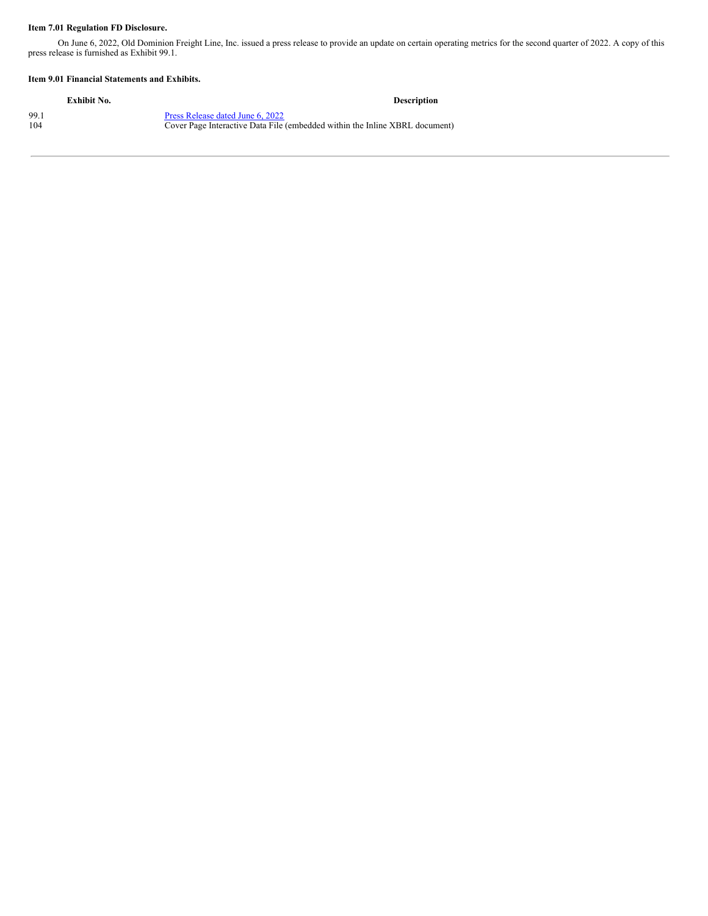#### **Item 7.01 Regulation FD Disclosure.**

On June 6, 2022, Old Dominion Freight Line, Inc. issued a press release to provide an update on certain operating metrics for the second quarter of 2022. A copy of this press release is furnished as Exhibit 99.1.

#### **Item 9.01 Financial Statements and Exhibits.**

| Exhibit No. | <b>Description</b>                                                          |
|-------------|-----------------------------------------------------------------------------|
| 99.1        | Press Release dated June 6, 2022                                            |
| 104         | Cover Page Interactive Data File (embedded within the Inline XBRL document) |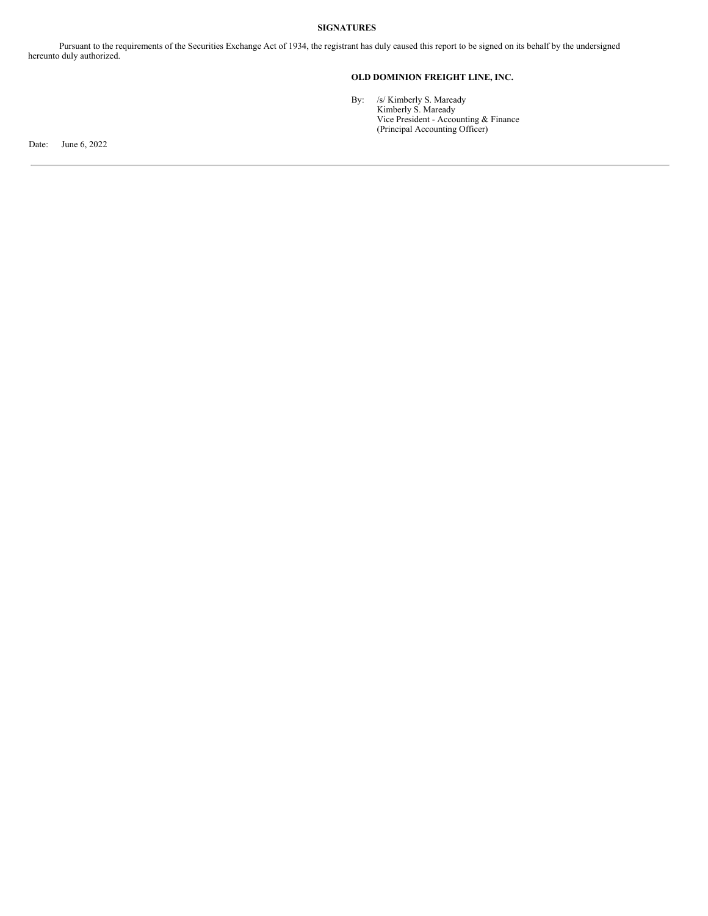#### **SIGNATURES**

Pursuant to the requirements of the Securities Exchange Act of 1934, the registrant has duly caused this report to be signed on its behalf by the undersigned hereunto duly authorized.

#### **OLD DOMINION FREIGHT LINE, INC.**

By: /s/ Kimberly S. Maready Kimberly S. Maready Vice President - Accounting & Finance (Principal Accounting Officer)

Date: June 6, 2022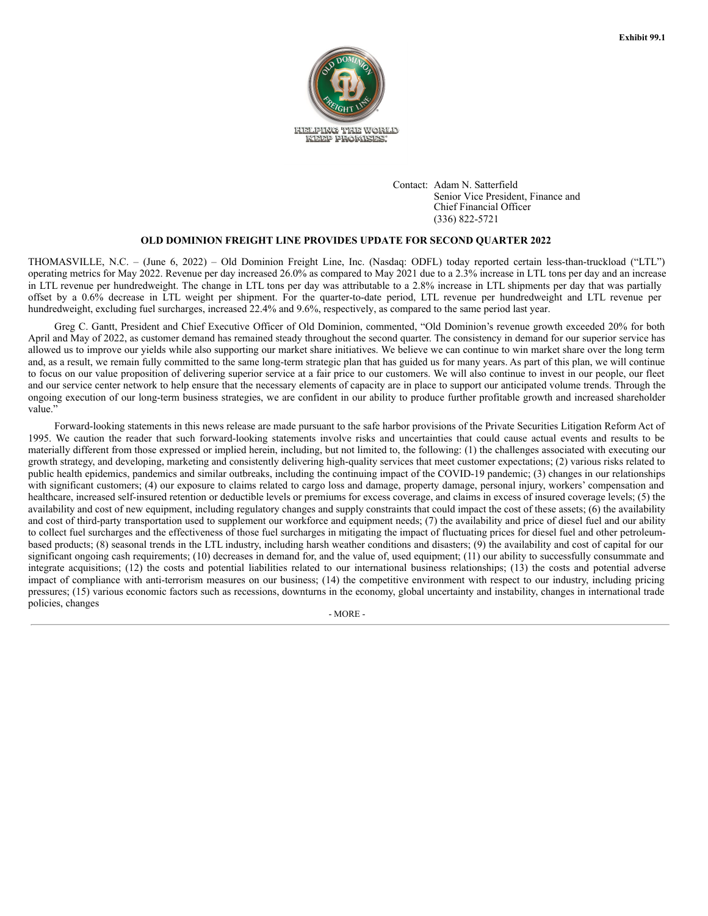

Contact: Adam N. Satterfield Senior Vice President, Finance and Chief Financial Officer (336) 822-5721

#### **OLD DOMINION FREIGHT LINE PROVIDES UPDATE FOR SECOND QUARTER 2022**

THOMASVILLE, N.C. – (June 6, 2022) – Old Dominion Freight Line, Inc. (Nasdaq: ODFL) today reported certain less-than-truckload ("LTL") operating metrics for May 2022. Revenue per day increased 26.0% as compared to May 2021 due to a 2.3% increase in LTL tons per day and an increase in LTL revenue per hundredweight. The change in LTL tons per day was attributable to a 2.8% increase in LTL shipments per day that was partially offset by a 0.6% decrease in LTL weight per shipment. For the quarter-to-date period, LTL revenue per hundredweight and LTL revenue per hundredweight, excluding fuel surcharges, increased 22.4% and 9.6%, respectively, as compared to the same period last year.

Greg C. Gantt, President and Chief Executive Officer of Old Dominion, commented, "Old Dominion's revenue growth exceeded 20% for both April and May of 2022, as customer demand has remained steady throughout the second quarter. The consistency in demand for our superior service has allowed us to improve our yields while also supporting our market share initiatives. We believe we can continue to win market share over the long term and, as a result, we remain fully committed to the same long-term strategic plan that has guided us for many years. As part of this plan, we will continue to focus on our value proposition of delivering superior service at a fair price to our customers. We will also continue to invest in our people, our fleet and our service center network to help ensure that the necessary elements of capacity are in place to support our anticipated volume trends. Through the ongoing execution of our long-term business strategies, we are confident in our ability to produce further profitable growth and increased shareholder value."

Forward-looking statements in this news release are made pursuant to the safe harbor provisions of the Private Securities Litigation Reform Act of 1995. We caution the reader that such forward-looking statements involve risks and uncertainties that could cause actual events and results to be materially different from those expressed or implied herein, including, but not limited to, the following: (1) the challenges associated with executing our growth strategy, and developing, marketing and consistently delivering high-quality services that meet customer expectations; (2) various risks related to public health epidemics, pandemics and similar outbreaks, including the continuing impact of the COVID-19 pandemic; (3) changes in our relationships with significant customers; (4) our exposure to claims related to cargo loss and damage, property damage, personal injury, workers' compensation and healthcare, increased self-insured retention or deductible levels or premiums for excess coverage, and claims in excess of insured coverage levels; (5) the availability and cost of new equipment, including regulatory changes and supply constraints that could impact the cost of these assets; (6) the availability and cost of third-party transportation used to supplement our workforce and equipment needs; (7) the availability and price of diesel fuel and our ability to collect fuel surcharges and the effectiveness of those fuel surcharges in mitigating the impact of fluctuating prices for diesel fuel and other petroleumbased products; (8) seasonal trends in the LTL industry, including harsh weather conditions and disasters; (9) the availability and cost of capital for our significant ongoing cash requirements; (10) decreases in demand for, and the value of, used equipment; (11) our ability to successfully consummate and integrate acquisitions; (12) the costs and potential liabilities related to our international business relationships; (13) the costs and potential adverse impact of compliance with anti-terrorism measures on our business; (14) the competitive environment with respect to our industry, including pricing pressures; (15) various economic factors such as recessions, downturns in the economy, global uncertainty and instability, changes in international trade policies, changes

- MORE -